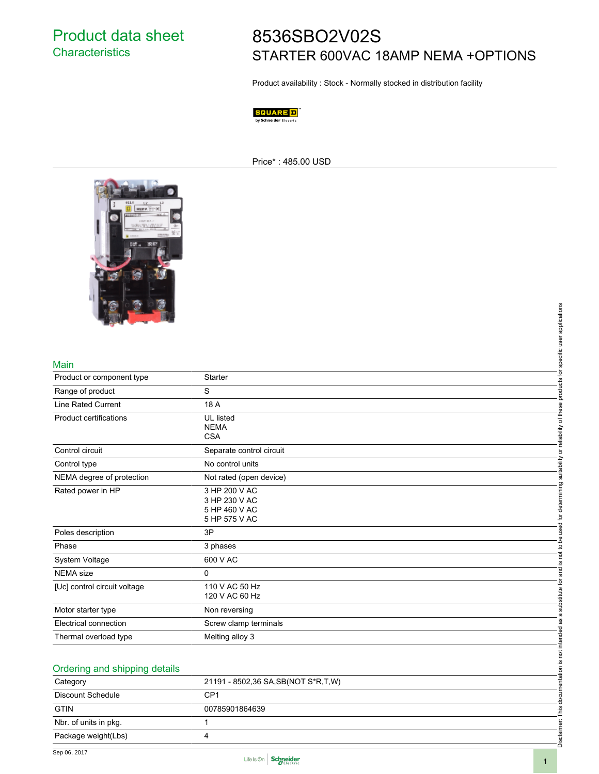## 8536SBO2V02S STARTER 600VAC 18AMP NEMA +OPTIONS

Product availability : Stock - Normally stocked in distribution facility

SQUARE D by Schneider Electric

Price\* : 485.00 USD



## Main

|                               | specific user applications                          |
|-------------------------------|-----------------------------------------------------|
| Main                          |                                                     |
| Product or component type     | products for<br>Starter                             |
| Range of product              | S                                                   |
| <b>Line Rated Current</b>     | 18 A                                                |
| Product certifications        | <b>UL</b> listed                                    |
|                               | <b>NEMA</b><br><b>CSA</b>                           |
| Control circuit               | or reliability of these<br>Separate control circuit |
|                               | No control units                                    |
| Control type                  | suitability                                         |
| NEMA degree of protection     | Not rated (open device)                             |
| Rated power in HP             | 3 HP 200 V AC<br>3 HP 230 V AC                      |
|                               | 5 HP 460 V AC                                       |
|                               | used for determining<br>5 HP 575 V AC               |
| Poles description             | 3P                                                  |
| Phase                         | is not to be<br>3 phases                            |
| System Voltage                | 600 V AC                                            |
| <b>NEMA</b> size              | and<br>$\Omega$                                     |
| [Uc] control circuit voltage  | substitute for<br>110 V AC 50 Hz                    |
|                               | 120 V AC 60 Hz                                      |
| Motor starter type            | Non reversing<br>a                                  |
| Electrical connection         | æ<br>Screw clamp terminals                          |
| Thermal overload type         | is not intended<br>Melting alloy 3                  |
|                               |                                                     |
| Ordering and shipping details |                                                     |
|                               | 21191 - 8502,36 SA, SB (NOT S*R, T, W)              |
| Category                      | documentation                                       |
| Discount Schedule             | CP <sub>1</sub>                                     |
| <b>GTIN</b>                   | 00785901864639<br>This                              |
| Nbr. of units in pkg.         | ë<br>1                                              |
| Package weight(Lbs)           | Disclaim<br>4                                       |
|                               |                                                     |

| Ordering and shipping details      |  |  |
|------------------------------------|--|--|
| 21191 - 8502,36 SA,SB(NOT S*R,T,W) |  |  |
| CP <sub>1</sub>                    |  |  |
| 00785901864639                     |  |  |
|                                    |  |  |
| 4                                  |  |  |
|                                    |  |  |



Disclaimer: This documentation is not intended as a substitute for and is not to be used for determining suitability or reliability of these products for specific user applications